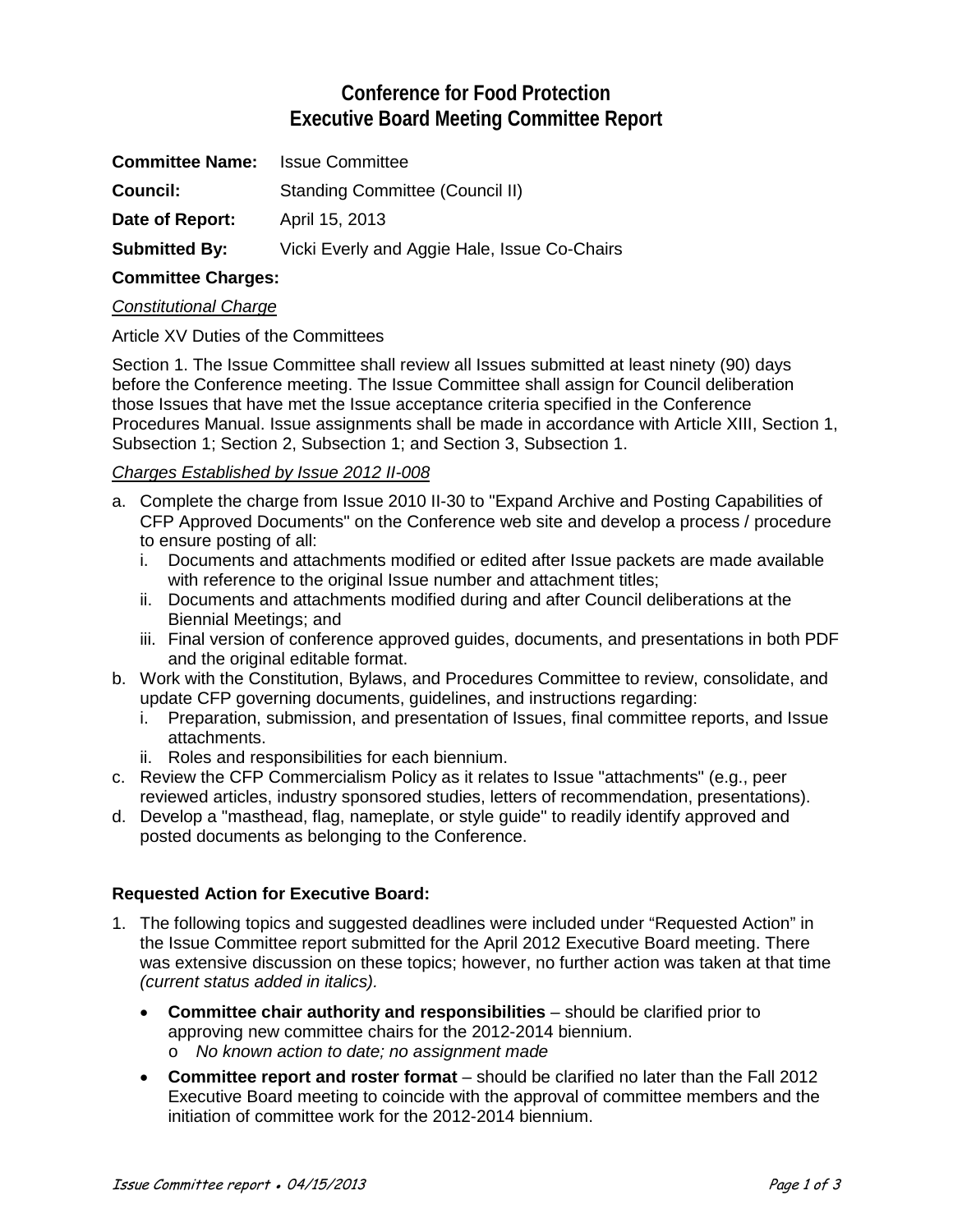# **Conference for Food Protection Executive Board Meeting Committee Report**

| <b>Committee Name:</b> | Issue Committee                              |
|------------------------|----------------------------------------------|
| <b>Council:</b>        | Standing Committee (Council II)              |
| Date of Report:        | April 15, 2013                               |
| <b>Submitted By:</b>   | Vicki Everly and Aggie Hale, Issue Co-Chairs |

## **Committee Charges:**

#### *Constitutional Charge*

Article XV Duties of the Committees

Section 1. The Issue Committee shall review all Issues submitted at least ninety (90) days before the Conference meeting. The Issue Committee shall assign for Council deliberation those Issues that have met the Issue acceptance criteria specified in the Conference Procedures Manual. Issue assignments shall be made in accordance with Article XIII, Section 1, Subsection 1; Section 2, Subsection 1; and Section 3, Subsection 1.

#### *Charges Established by Issue 2012 II-008*

- a. Complete the charge from Issue 2010 II-30 to "Expand Archive and Posting Capabilities of CFP Approved Documents" on the Conference web site and develop a process / procedure to ensure posting of all:
	- i. Documents and attachments modified or edited after Issue packets are made available with reference to the original Issue number and attachment titles;
	- ii. Documents and attachments modified during and after Council deliberations at the Biennial Meetings; and
	- iii. Final version of conference approved guides, documents, and presentations in both PDF and the original editable format.
- b. Work with the Constitution, Bylaws, and Procedures Committee to review, consolidate, and update CFP governing documents, guidelines, and instructions regarding:
	- i. Preparation, submission, and presentation of Issues, final committee reports, and Issue attachments.
	- ii. Roles and responsibilities for each biennium.
- c. Review the CFP Commercialism Policy as it relates to Issue "attachments" (e.g., peer reviewed articles, industry sponsored studies, letters of recommendation, presentations).
- d. Develop a "masthead, flag, nameplate, or style guide" to readily identify approved and posted documents as belonging to the Conference.

#### **Requested Action for Executive Board:**

- 1. The following topics and suggested deadlines were included under "Requested Action" in the Issue Committee report submitted for the April 2012 Executive Board meeting. There was extensive discussion on these topics; however, no further action was taken at that time *(current status added in italics).*
	- **Committee chair authority and responsibilities** should be clarified prior to approving new committee chairs for the 2012-2014 biennium. o *No known action to date; no assignment made*
	- **Committee report and roster format** should be clarified no later than the Fall 2012 Executive Board meeting to coincide with the approval of committee members and the initiation of committee work for the 2012-2014 biennium.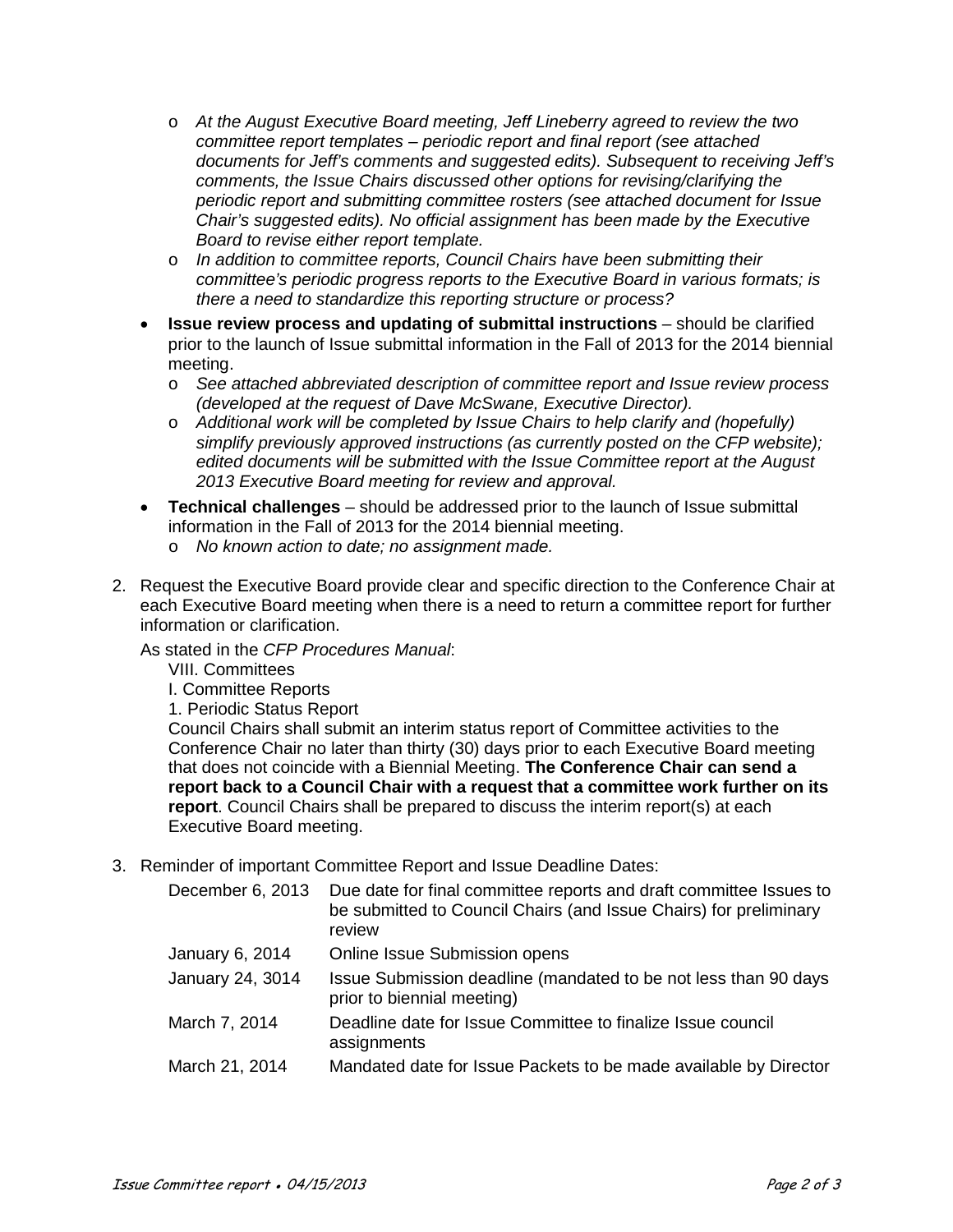- o *At the August Executive Board meeting, Jeff Lineberry agreed to review the two committee report templates – periodic report and final report (see attached documents for Jeff's comments and suggested edits). Subsequent to receiving Jeff's comments, the Issue Chairs discussed other options for revising/clarifying the periodic report and submitting committee rosters (see attached document for Issue Chair's suggested edits). No official assignment has been made by the Executive Board to revise either report template.*
- o *In addition to committee reports, Council Chairs have been submitting their committee's periodic progress reports to the Executive Board in various formats; is there a need to standardize this reporting structure or process?*
- **Issue review process and updating of submittal instructions** should be clarified prior to the launch of Issue submittal information in the Fall of 2013 for the 2014 biennial meeting.
	- o *See attached abbreviated description of committee report and Issue review process (developed at the request of Dave McSwane, Executive Director).*
	- o *Additional work will be completed by Issue Chairs to help clarify and (hopefully) simplify previously approved instructions (as currently posted on the CFP website); edited documents will be submitted with the Issue Committee report at the August 2013 Executive Board meeting for review and approval.*
- **Technical challenges**  should be addressed prior to the launch of Issue submittal information in the Fall of 2013 for the 2014 biennial meeting.
	- o *No known action to date; no assignment made.*
- 2. Request the Executive Board provide clear and specific direction to the Conference Chair at each Executive Board meeting when there is a need to return a committee report for further information or clarification.

As stated in the *CFP Procedures Manual*:

- VIII. Committees
- I. Committee Reports
- 1. Periodic Status Report

Council Chairs shall submit an interim status report of Committee activities to the Conference Chair no later than thirty (30) days prior to each Executive Board meeting that does not coincide with a Biennial Meeting. **The Conference Chair can send a report back to a Council Chair with a request that a committee work further on its report**. Council Chairs shall be prepared to discuss the interim report(s) at each Executive Board meeting.

3. Reminder of important Committee Report and Issue Deadline Dates:

| December 6, 2013 | Due date for final committee reports and draft committee Issues to<br>be submitted to Council Chairs (and Issue Chairs) for preliminary<br>review |
|------------------|---------------------------------------------------------------------------------------------------------------------------------------------------|
| January 6, 2014  | Online Issue Submission opens                                                                                                                     |
| January 24, 3014 | Issue Submission deadline (mandated to be not less than 90 days<br>prior to biennial meeting)                                                     |
| March 7, 2014    | Deadline date for Issue Committee to finalize Issue council<br>assignments                                                                        |
| March 21, 2014   | Mandated date for Issue Packets to be made available by Director                                                                                  |